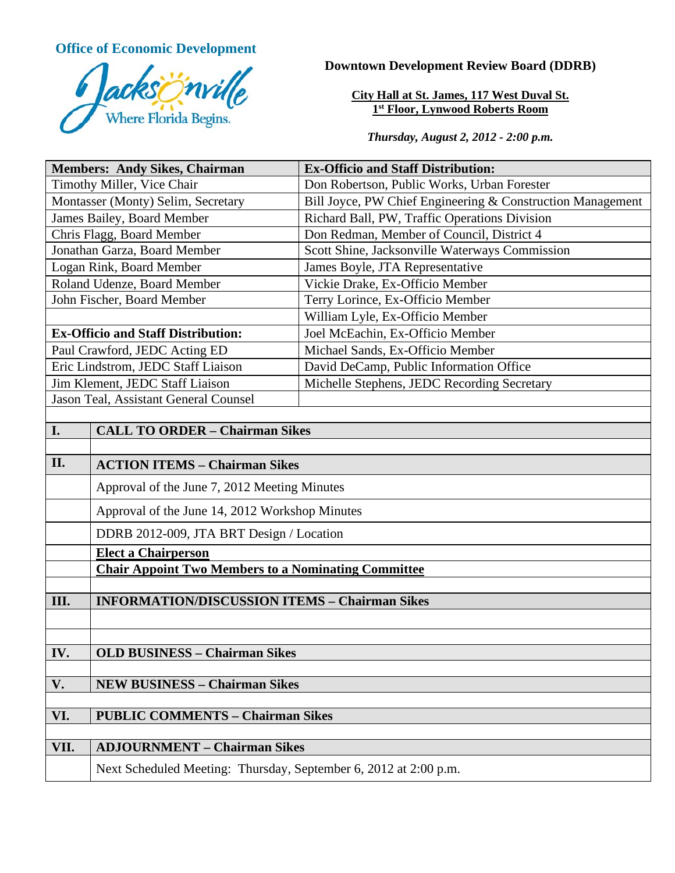**Office of Economic Development**



**Downtown Development Review Board (DDRB)**

**City Hall at St. James, 117 West Duval St. 1st Floor, Lynwood Roberts Room**

*Thursday, August 2, 2012 - 2:00 p.m.*

| <b>Members: Andy Sikes, Chairman</b>           |                                                                  | <b>Ex-Officio and Staff Distribution:</b>                  |
|------------------------------------------------|------------------------------------------------------------------|------------------------------------------------------------|
| Timothy Miller, Vice Chair                     |                                                                  | Don Robertson, Public Works, Urban Forester                |
| Montasser (Monty) Selim, Secretary             |                                                                  | Bill Joyce, PW Chief Engineering & Construction Management |
| James Bailey, Board Member                     |                                                                  | Richard Ball, PW, Traffic Operations Division              |
| Chris Flagg, Board Member                      |                                                                  | Don Redman, Member of Council, District 4                  |
| Jonathan Garza, Board Member                   |                                                                  | Scott Shine, Jacksonville Waterways Commission             |
| Logan Rink, Board Member                       |                                                                  | James Boyle, JTA Representative                            |
| Roland Udenze, Board Member                    |                                                                  | Vickie Drake, Ex-Officio Member                            |
| John Fischer, Board Member                     |                                                                  | Terry Lorince, Ex-Officio Member                           |
|                                                |                                                                  | William Lyle, Ex-Officio Member                            |
| <b>Ex-Officio and Staff Distribution:</b>      |                                                                  | Joel McEachin, Ex-Officio Member                           |
| Paul Crawford, JEDC Acting ED                  |                                                                  | Michael Sands, Ex-Officio Member                           |
| Eric Lindstrom, JEDC Staff Liaison             |                                                                  | David DeCamp, Public Information Office                    |
| Jim Klement, JEDC Staff Liaison                |                                                                  | Michelle Stephens, JEDC Recording Secretary                |
| Jason Teal, Assistant General Counsel          |                                                                  |                                                            |
|                                                |                                                                  |                                                            |
| I.                                             | <b>CALL TO ORDER - Chairman Sikes</b>                            |                                                            |
|                                                |                                                                  |                                                            |
| II.                                            | <b>ACTION ITEMS - Chairman Sikes</b>                             |                                                            |
|                                                | Approval of the June 7, 2012 Meeting Minutes                     |                                                            |
|                                                | Approval of the June 14, 2012 Workshop Minutes                   |                                                            |
|                                                | DDRB 2012-009, JTA BRT Design / Location                         |                                                            |
|                                                | <b>Elect a Chairperson</b>                                       |                                                            |
|                                                | <b>Chair Appoint Two Members to a Nominating Committee</b>       |                                                            |
|                                                |                                                                  |                                                            |
| III.                                           | <b>INFORMATION/DISCUSSION ITEMS - Chairman Sikes</b>             |                                                            |
|                                                |                                                                  |                                                            |
|                                                |                                                                  |                                                            |
| IV.                                            | <b>OLD BUSINESS - Chairman Sikes</b>                             |                                                            |
|                                                |                                                                  |                                                            |
| V.                                             | <b>NEW BUSINESS - Chairman Sikes</b>                             |                                                            |
|                                                |                                                                  |                                                            |
| VI.<br><b>PUBLIC COMMENTS - Chairman Sikes</b> |                                                                  |                                                            |
|                                                |                                                                  |                                                            |
| VII.                                           | <b>ADJOURNMENT - Chairman Sikes</b>                              |                                                            |
|                                                | Next Scheduled Meeting: Thursday, September 6, 2012 at 2:00 p.m. |                                                            |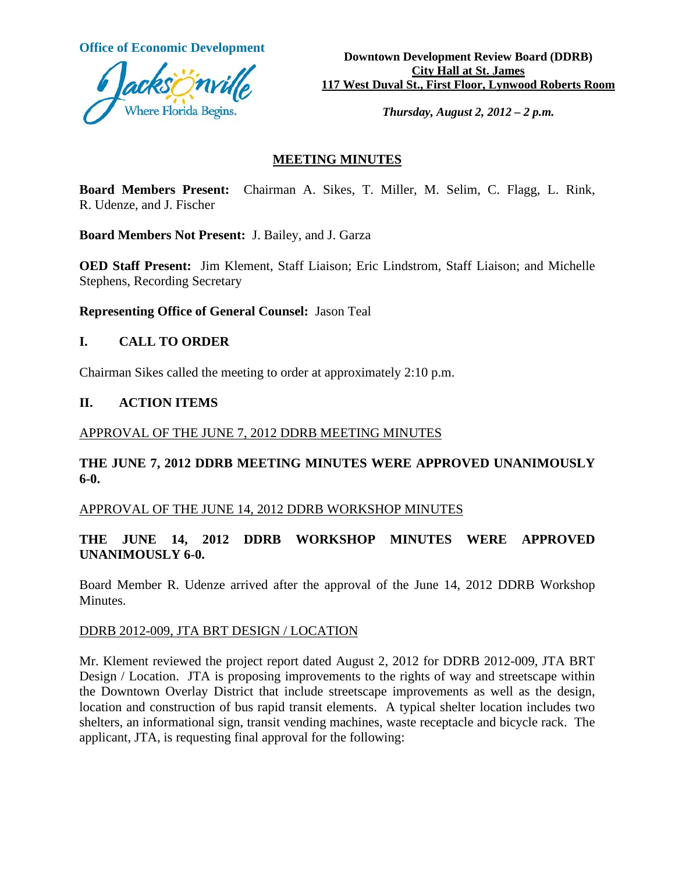

**Office of Economic Development**<br> **Downtown Development Review Board (DDRB) City Hall at St. James 117 West Duval St., First Floor, Lynwood Roberts Room**

*Thursday, August 2, 2012 – 2 p.m.*

#### **MEETING MINUTES**

**Board Members Present:** Chairman A. Sikes, T. Miller, M. Selim, C. Flagg, L. Rink, R. Udenze, and J. Fischer

**Board Members Not Present:** J. Bailey, and J. Garza

**OED Staff Present:** Jim Klement, Staff Liaison; Eric Lindstrom, Staff Liaison; and Michelle Stephens, Recording Secretary

**Representing Office of General Counsel:** Jason Teal

#### **I. CALL TO ORDER**

Chairman Sikes called the meeting to order at approximately 2:10 p.m.

### **II. ACTION ITEMS**

#### APPROVAL OF THE JUNE 7, 2012 DDRB MEETING MINUTES

# **THE JUNE 7, 2012 DDRB MEETING MINUTES WERE APPROVED UNANIMOUSLY 6-0.**

#### APPROVAL OF THE JUNE 14, 2012 DDRB WORKSHOP MINUTES

# **THE JUNE 14, 2012 DDRB WORKSHOP MINUTES WERE APPROVED UNANIMOUSLY 6-0.**

Board Member R. Udenze arrived after the approval of the June 14, 2012 DDRB Workshop Minutes.

## DDRB 2012-009, JTA BRT DESIGN / LOCATION

Mr. Klement reviewed the project report dated August 2, 2012 for DDRB 2012-009, JTA BRT Design / Location. JTA is proposing improvements to the rights of way and streetscape within the Downtown Overlay District that include streetscape improvements as well as the design, location and construction of bus rapid transit elements. A typical shelter location includes two shelters, an informational sign, transit vending machines, waste receptacle and bicycle rack. The applicant, JTA, is requesting final approval for the following: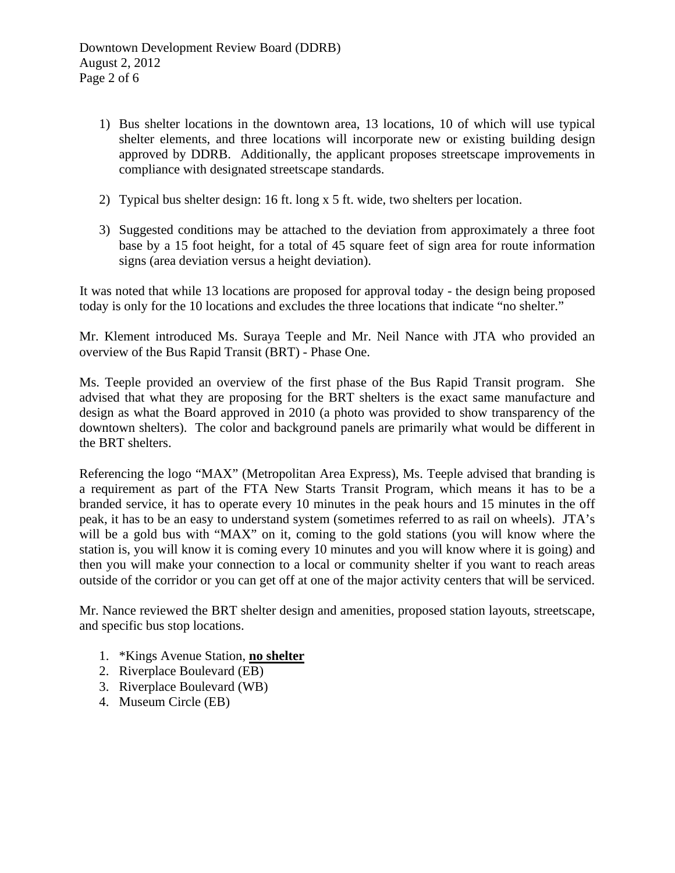- 1) Bus shelter locations in the downtown area, 13 locations, 10 of which will use typical shelter elements, and three locations will incorporate new or existing building design approved by DDRB. Additionally, the applicant proposes streetscape improvements in compliance with designated streetscape standards.
- 2) Typical bus shelter design: 16 ft. long x 5 ft. wide, two shelters per location.
- 3) Suggested conditions may be attached to the deviation from approximately a three foot base by a 15 foot height, for a total of 45 square feet of sign area for route information signs (area deviation versus a height deviation).

It was noted that while 13 locations are proposed for approval today - the design being proposed today is only for the 10 locations and excludes the three locations that indicate "no shelter."

Mr. Klement introduced Ms. Suraya Teeple and Mr. Neil Nance with JTA who provided an overview of the Bus Rapid Transit (BRT) - Phase One.

Ms. Teeple provided an overview of the first phase of the Bus Rapid Transit program. She advised that what they are proposing for the BRT shelters is the exact same manufacture and design as what the Board approved in 2010 (a photo was provided to show transparency of the downtown shelters). The color and background panels are primarily what would be different in the BRT shelters.

Referencing the logo "MAX" (Metropolitan Area Express), Ms. Teeple advised that branding is a requirement as part of the FTA New Starts Transit Program, which means it has to be a branded service, it has to operate every 10 minutes in the peak hours and 15 minutes in the off peak, it has to be an easy to understand system (sometimes referred to as rail on wheels). JTA's will be a gold bus with "MAX" on it, coming to the gold stations (you will know where the station is, you will know it is coming every 10 minutes and you will know where it is going) and then you will make your connection to a local or community shelter if you want to reach areas outside of the corridor or you can get off at one of the major activity centers that will be serviced.

Mr. Nance reviewed the BRT shelter design and amenities, proposed station layouts, streetscape, and specific bus stop locations.

- 1. \*Kings Avenue Station, **no shelter**
- 2. Riverplace Boulevard (EB)
- 3. Riverplace Boulevard (WB)
- 4. Museum Circle (EB)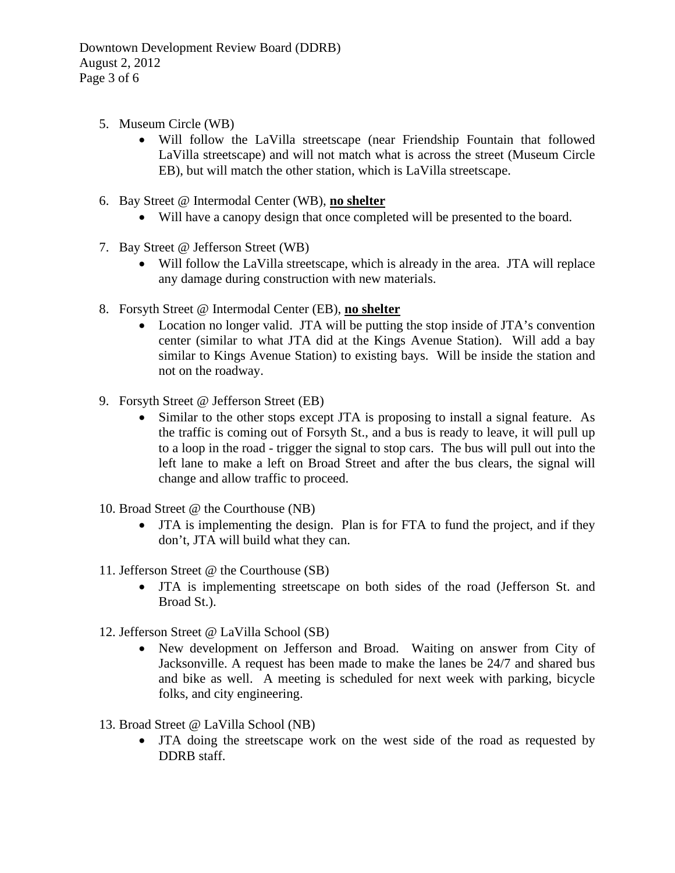- 5. Museum Circle (WB)
	- Will follow the LaVilla streetscape (near Friendship Fountain that followed LaVilla streetscape) and will not match what is across the street (Museum Circle EB), but will match the other station, which is LaVilla streetscape.
- 6. Bay Street @ Intermodal Center (WB), **no shelter**
	- Will have a canopy design that once completed will be presented to the board.
- 7. Bay Street @ Jefferson Street (WB)
	- Will follow the LaVilla streetscape, which is already in the area. JTA will replace any damage during construction with new materials.
- 8. Forsyth Street @ Intermodal Center (EB), **no shelter**
	- Location no longer valid. JTA will be putting the stop inside of JTA's convention center (similar to what JTA did at the Kings Avenue Station). Will add a bay similar to Kings Avenue Station) to existing bays. Will be inside the station and not on the roadway.
- 9. Forsyth Street @ Jefferson Street (EB)
	- Similar to the other stops except JTA is proposing to install a signal feature. As the traffic is coming out of Forsyth St., and a bus is ready to leave, it will pull up to a loop in the road - trigger the signal to stop cars. The bus will pull out into the left lane to make a left on Broad Street and after the bus clears, the signal will change and allow traffic to proceed.
- 10. Broad Street @ the Courthouse (NB)
	- JTA is implementing the design. Plan is for FTA to fund the project, and if they don't, JTA will build what they can.
- 11. Jefferson Street @ the Courthouse (SB)
	- JTA is implementing streetscape on both sides of the road (Jefferson St. and Broad St.).
- 12. Jefferson Street @ LaVilla School (SB)
	- New development on Jefferson and Broad. Waiting on answer from City of Jacksonville. A request has been made to make the lanes be 24/7 and shared bus and bike as well. A meeting is scheduled for next week with parking, bicycle folks, and city engineering.
- 13. Broad Street @ LaVilla School (NB)
	- JTA doing the streetscape work on the west side of the road as requested by DDRB staff.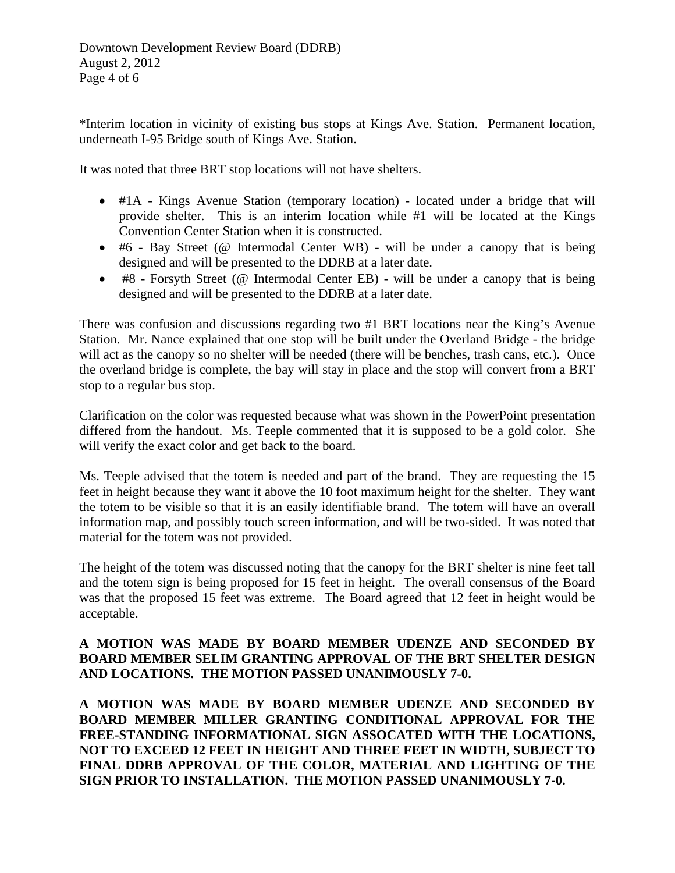\*Interim location in vicinity of existing bus stops at Kings Ave. Station. Permanent location, underneath I-95 Bridge south of Kings Ave. Station.

It was noted that three BRT stop locations will not have shelters.

- #1A Kings Avenue Station (temporary location) located under a bridge that will provide shelter. This is an interim location while #1 will be located at the Kings Convention Center Station when it is constructed.
- #6 Bay Street ( $@$  Intermodal Center WB) will be under a canopy that is being designed and will be presented to the DDRB at a later date.
- #8 Forsyth Street (@ Intermodal Center EB) will be under a canopy that is being designed and will be presented to the DDRB at a later date.

There was confusion and discussions regarding two #1 BRT locations near the King's Avenue Station. Mr. Nance explained that one stop will be built under the Overland Bridge - the bridge will act as the canopy so no shelter will be needed (there will be benches, trash cans, etc.). Once the overland bridge is complete, the bay will stay in place and the stop will convert from a BRT stop to a regular bus stop.

Clarification on the color was requested because what was shown in the PowerPoint presentation differed from the handout. Ms. Teeple commented that it is supposed to be a gold color. She will verify the exact color and get back to the board.

Ms. Teeple advised that the totem is needed and part of the brand. They are requesting the 15 feet in height because they want it above the 10 foot maximum height for the shelter. They want the totem to be visible so that it is an easily identifiable brand. The totem will have an overall information map, and possibly touch screen information, and will be two-sided. It was noted that material for the totem was not provided.

The height of the totem was discussed noting that the canopy for the BRT shelter is nine feet tall and the totem sign is being proposed for 15 feet in height. The overall consensus of the Board was that the proposed 15 feet was extreme. The Board agreed that 12 feet in height would be acceptable.

# **A MOTION WAS MADE BY BOARD MEMBER UDENZE AND SECONDED BY BOARD MEMBER SELIM GRANTING APPROVAL OF THE BRT SHELTER DESIGN AND LOCATIONS. THE MOTION PASSED UNANIMOUSLY 7-0.**

**A MOTION WAS MADE BY BOARD MEMBER UDENZE AND SECONDED BY BOARD MEMBER MILLER GRANTING CONDITIONAL APPROVAL FOR THE FREE-STANDING INFORMATIONAL SIGN ASSOCATED WITH THE LOCATIONS, NOT TO EXCEED 12 FEET IN HEIGHT AND THREE FEET IN WIDTH, SUBJECT TO FINAL DDRB APPROVAL OF THE COLOR, MATERIAL AND LIGHTING OF THE SIGN PRIOR TO INSTALLATION. THE MOTION PASSED UNANIMOUSLY 7-0.**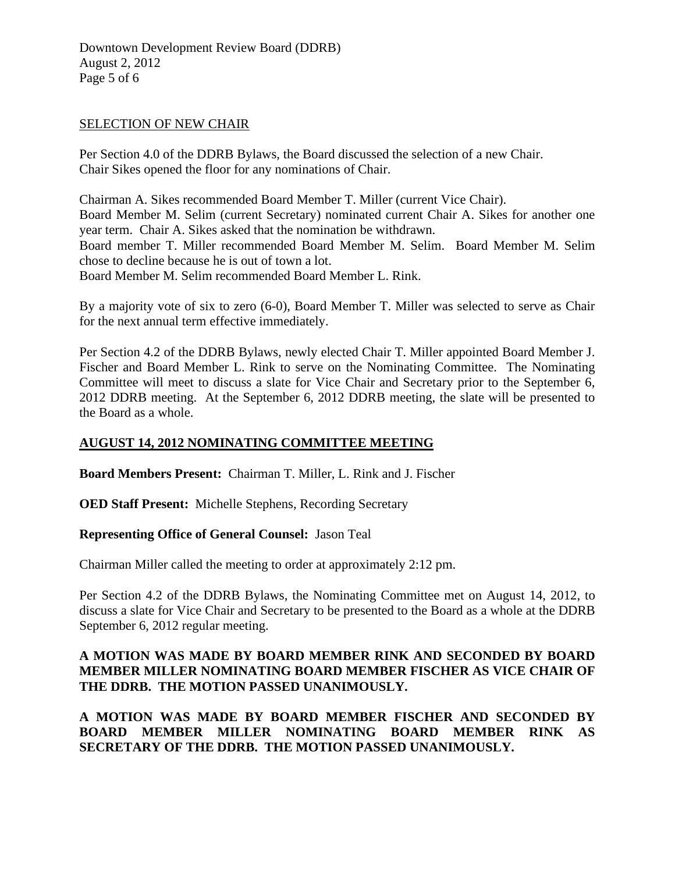### SELECTION OF NEW CHAIR

Per Section 4.0 of the DDRB Bylaws, the Board discussed the selection of a new Chair. Chair Sikes opened the floor for any nominations of Chair.

Chairman A. Sikes recommended Board Member T. Miller (current Vice Chair). Board Member M. Selim (current Secretary) nominated current Chair A. Sikes for another one year term. Chair A. Sikes asked that the nomination be withdrawn. Board member T. Miller recommended Board Member M. Selim. Board Member M. Selim chose to decline because he is out of town a lot. Board Member M. Selim recommended Board Member L. Rink.

By a majority vote of six to zero (6-0), Board Member T. Miller was selected to serve as Chair for the next annual term effective immediately.

Per Section 4.2 of the DDRB Bylaws, newly elected Chair T. Miller appointed Board Member J. Fischer and Board Member L. Rink to serve on the Nominating Committee. The Nominating Committee will meet to discuss a slate for Vice Chair and Secretary prior to the September 6, 2012 DDRB meeting. At the September 6, 2012 DDRB meeting, the slate will be presented to the Board as a whole.

# **AUGUST 14, 2012 NOMINATING COMMITTEE MEETING**

**Board Members Present:** Chairman T. Miller, L. Rink and J. Fischer

**OED Staff Present:** Michelle Stephens, Recording Secretary

**Representing Office of General Counsel:** Jason Teal

Chairman Miller called the meeting to order at approximately 2:12 pm.

Per Section 4.2 of the DDRB Bylaws, the Nominating Committee met on August 14, 2012, to discuss a slate for Vice Chair and Secretary to be presented to the Board as a whole at the DDRB September 6, 2012 regular meeting.

# **A MOTION WAS MADE BY BOARD MEMBER RINK AND SECONDED BY BOARD MEMBER MILLER NOMINATING BOARD MEMBER FISCHER AS VICE CHAIR OF THE DDRB. THE MOTION PASSED UNANIMOUSLY.**

**A MOTION WAS MADE BY BOARD MEMBER FISCHER AND SECONDED BY BOARD MEMBER MILLER NOMINATING BOARD MEMBER RINK AS SECRETARY OF THE DDRB. THE MOTION PASSED UNANIMOUSLY.**